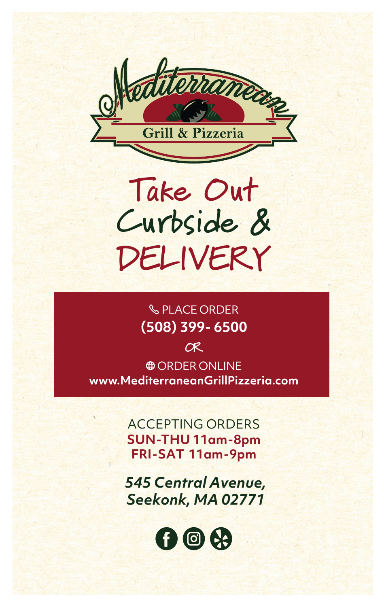

# **Take Out Curbside & DELIVERY**

# **(508) 399- 6500 SPLACE ORDER**

**OR**

**www.MediterraneanGrillPizzeria.com @ ORDER ONLINE** 

> ACCEPTING ORDERS **SUN -THU 11am-8pm FRI-SAT 11am-9pm**

*545 Central Avenue, Seekonk, MA 02771*

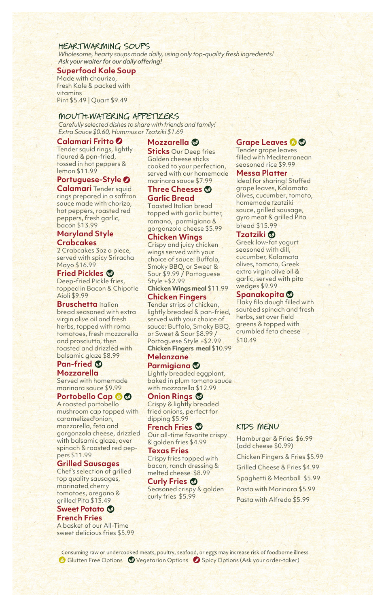#### **HEARTWARMING SOUPS**

*Wholesome, hearty soups made daily, usingonly top-quality fresh ingredients! Ask your waiter for our daily offering!*

#### **Superfood Kale Soup**

Made with chourizo, fresh Kale & packed with vitamins Pint \$5.49 | Quart \$9.49

# **MOUTH-WATERING APPETIZERS**

*Carefully selected dishes to share with friends and family! Extra Sauce \$0.60, Hummus or Tzatziki \$1.69*

#### **Calamari Fritto**

Tender squid rings, lightly floured & pan-fried, tossed in hot peppers & lemon \$11.99

# **Portuguese-Style**

**Calamari** Tender squid rings prepared in a saffron sauce made with chorizo, hot peppers, roasted red peppers, fresh garlic, bacon \$13.99

#### **Maryland Style Crabcakes**

2 Crabcakes 3oz a piece, served with spicy Sriracha Mayo \$16.99

#### **Fried Pickles**

Deep-fried Pickle fries, topped in Bacon & Chipotle Aioli \$9.99

#### **Bruschetta** Italian

bread seasoned with extra virgin olive oil and fresh herbs, topped with roma tomatoes, fresh mozzarella and prosciutto, then toasted and drizzled with balsamic glaze \$8.99

# **Pan-fried**

**Mozzarella** Served with homemade marinara sauce \$9.99

# **Portobello Cap**

A roasted portobello mushroom cap topped with caramelized onion, mozzarella, feta and gorgonzola cheese, drizzled with balsamic glaze, over spinach & roasted red peppers \$11.99

#### **Grilled Sausages**

Chef's selection of grilled top quality sausages, marinated cherry tomatoes, oregano & grilled Pita \$13.49

# **Sweet Potato French Fries**

A basket of our All-Time sweet delicious fries \$5.99

# **Mozzarella**

**Sticks** Our Deep fries Golden cheese sticks cooked to your perfection, served with our homemade marinara sauce \$7.99

# **Three Cheeses Garlic Bread**

Toasted Italian bread topped with garlic butter, romano, parmigiana & gorgonzola cheese \$5.99

# **Chicken Wings**

Crispy and juicy chicken wings served with your choice of sauce: Buffalo, Smoky BBQ, or Sweet & Sour \$9.99 / Portoguese Style +\$2.99

**Chicken Wings meal** \$11.99 **Chicken Fingers**

Tender strips of chicken, lightly breaded & pan-fried, served with your choice of sauce: Buffalo, Smoky BBQ, or Sweet & Sour \$8.99 / Portoguese Style +\$2.99 **Chicken Fingers meal** \$10.99

# **Melanzane Parmigiana**

Lightly breaded eggplant, baked in plum tomato sauce with mozzarella \$12.99

#### **Onion Rings**

Crispy & lightly breaded fried onions, perfect for dipping \$5.99

**French Fries** Our all-time favorite crispy & golden fries \$4.99

# **Texas Fries**

Crispy fries topped with bacon, ranch dressing & melted cheese \$8.99

**Curly Fries** Seasoned crispy & golden curly fries \$5.99

# **Grape Leaves**

Tender grape leaves filled with Mediterranean seasoned rice \$9.99

## **Messa Platter**

Ideal for sharing! Stuffed grape leaves, Kalamata olives, cucumber, tomato, homemade tzatziki sauce, grilled sausage, gyro meat & grilled Pita bread \$15.99

# **Tzatziki**

Greek low-fat yogurt seasoned with dill, cucumber, Kalamata olives, tomato, Greek extra virgin olive oil & garlic, served with pita wedges \$9.99

# **Spanakopita**

Flaky filo dough filled with sautéed spinach and fresh herbs, set over field greens & topped with crumbled feta cheese \$10.49

# **KIDS MENU**

Hamburger & Fries \$6.99 (add cheese \$0.99) Chicken Fingers & Fries \$5.99 Grilled Cheese & Fries \$4.99 Spaghetti & Meatball \$5.99 Pasta with Marinara \$5.99 Pasta with Alfredo \$5.99

Consuming raw or undercooked meats, poultry, seafood, or eggs may increase risk of foodborne illness Glutten Free Options Vegetarian Options Spicy Options (Ask your order-taker)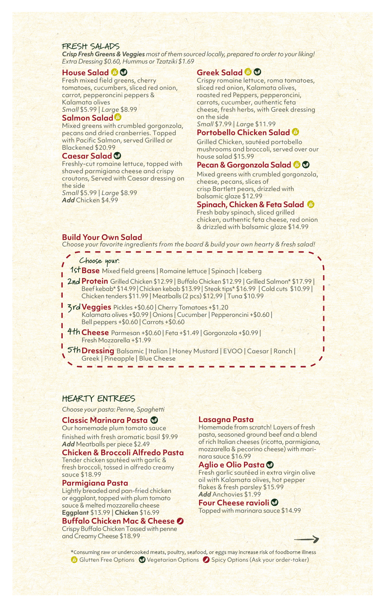#### **FRESH SALADS**

*CrispFresh Greens & Veggies most ofthem sourced locally, prepared to order to your liking! Extra Dressing\$0.60, Hummus or Tzatziki \$1.69*

#### **House Salad**

Fresh mixed field greens, cherry tomatoes, cucumbers, sliced red onion, carrot, pepperoncini peppers & Kalamata olives *Small* \$5.99 | *Large* \$8.99

#### **Salmon Salad**

Mixed greens with crumbled gorgonzola, pecans and dried cranberries. Topped with Pacific Salmon, served Grilled or Blackened \$20.99

#### **Caesar Salad**

Freshly-cut romaine lettuce, topped with shaved parmigiana cheese and crispy croutons, Served with Caesar dressing on the side *Small* \$5.99 | *Large* \$8.99

*Add* Chicken \$4.99

# **Greek Salad**

Crispy romaine lettuce, roma tomatoes, sliced red onion, Kalamata olives, roasted red Peppers, pepperoncini, carrots, cucumber, authentic feta cheese, fresh herbs, with Greek dressing on the side

*Small* \$7.99 | *Large* \$11.99

# **Portobello Chicken Salad**

Grilled Chicken, sautéed portobello mushrooms and broccoli, served over our house salad \$15.99

#### **Pecan & Gorgonzola Salad**

Mixed greens with crumbled gorgonzola, cheese, pecans, slices of crisp Bartlett pears, drizzled with balsamic glaze \$12.99

#### **Spinach, Chicken & Feta Salad**

Fresh baby spinach, sliced grilled chicken, authentic feta cheese, red onion & drizzled with balsamic glaze \$14.99

#### **Build Your Own Salad**

*Choose your favorite ingredients from the board & build your own hearty & fresh salad!*

#### **Choose your:**

**1st Base** Mixed field greens | Romaine lettuce | Spinach | Iceberg

- **2nd Protein** Grilled Chicken \$12.99 | Buffalo Chicken \$12.99 | Grilled Salmon\* \$17.99 | Beef kebab\* \$14.99| Chicken kebab \$13.99| Steak tips\* \$16.99 | Cold cuts \$10.99 | Chicken tenders \$11.99 | Meatballs (2 pcs) \$12.99 | Tuna \$10.99
- **3rd Veggies** Pickles +\$0.60 | Cherry Tomatoes +\$1.20 Kalamata olives +\$0.99 | Onions | Cucumber | Pepperoncini +\$0.60 | Bell peppers +\$0.60 | Carrots +\$0.60
- **4th Cheese** Parmesan +\$0.60 | Feta +\$1.49 | Gorgonzola +\$0.99 | Fresh Mozzarella +\$1.99
- **5th Dressing** Balsamic | Italian | Honey Mustard | EVOO | Caesar | Ranch | Greek | Pineapple | Blue Cheese

#### **HEARTY ENTREES**

*Choose your pasta: Penne, Spaghetti*

#### **Classic Marinara Pasta**

Our homemade plum tomato sauce finished with fresh aromatic basil \$9.99 *Add* Meatballs per piece \$2.49

#### **Chicken & Broccoli Alfredo Pasta**

Tender chicken sautéed with garlic & fresh broccoli, tossed in alfredo creamy sauce \$18.99

#### **Parmigiana Pasta**

Lightly breaded and pan-fried chicken or eggplant, topped with plum tomato sauce & melted mozzarella cheese **Eggplant** \$13.99 | **Chicken** \$16.99

#### **Buffalo Chicken Mac & Cheese**

Crispy Buffalo Chicken Tossed with penne and Creamy Cheese \$18.99

#### **Lasagna Pasta**

Homemade from scratch! Layers of fresh pasta, seasoned ground beef and a blend of rich Italian cheeses (ricotta, parmigiana, mozzarella & pecorino cheese) with marinara sauce \$16.99

#### **Aglio e Olio Pasta**

Fresh garlic sautéed in extra virgin olive oil with Kalamata olives, hot pepper flakes & fresh parsley \$15.99 *Add* Anchovies \$1.99

#### **Four Cheese ravioli**

Topped with marinara sauce \$14.99

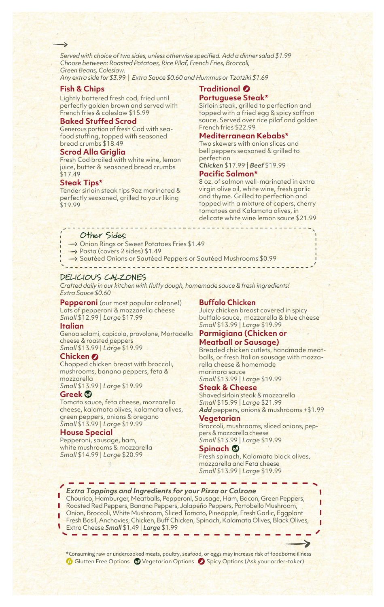*Served with choice of two sides, unless otherwise specified. Add a dinner salad \$1.99 Choose between: Roasted Potatoes, Rice Pilaf, French Fries, Broccoli, Green Beans, Coleslaw.*

*Any extra side for \$3.99* | *Extra Sauce \$0.60 and Hummus or Tzatziki \$1.69*

# **Fish & Chips**

 $\rightarrow$ 

Lightly battered fresh cod, fried until perfectly golden brown and served with French fries & coleslaw \$15.99

#### **Baked Stuffed Scrod**

Generous portion of fresh Cod with seafood stuffing, topped with seasoned bread crumbs \$18.49

#### **Scrod Alla Griglia**

Fresh Cod broiled with white wine, lemon juice, butter & seasoned bread crumbs \$17.49

#### **Steak Tips\***

Tender sirloin steak tips 9oz marinated & perfectly seasoned, grilled to your liking \$19.99

# **Traditional Portuguese Steak\***

Sirloin steak, grilled to perfection and topped with a fried egg & spicy saffron sauce. Served over rice pilaf and golden French fries \$22.99

# **Mediterranean Kebabs\***

Two skewers with onion slices and bell peppers seasoned & grilled to perfection

*Chicken* \$17.99 | *Beef* \$19.99 **Pacific Salmon\*** 

8 oz. of salmon well-marinated in extra virgin olive oil, white wine, fresh garlic and thyme. Grilled to perfection and topped with a mixture of capers, cherry tomatoes and Kalamata olives, in delicate white wine lemon sauce \$21.99

#### **Other Sides:**

- → Onion Rings or Sweet Potatoes Fries \$1.49
- $\rightarrow$  Pasta (covers 2 sides) \$1.49
- $\rightarrow$  Sautéed Onions or Sautéed Peppers or Sautéed Mushrooms \$0.99

#### **DELICIOUS CALZONES**

*Crafted daily in our kitchen with fluffy dough, homemade sauce & fresh ingredients! Extra Sauce \$0.60* 

**Pepperoni** (our most popular calzone!) Lots of pepperoni & mozzarella cheese *Small* \$12.99 | *Large* \$17.99

#### **Italian**

Genoa salami, capicola, provolone, Mortadella cheese & roasted peppers *Small* \$13.99 | *Large* \$19.99

#### **Chicken**

Chopped chicken breast with broccoli, mushrooms, banana peppers, feta & mozzarella

*Small* \$13.99 | *Large* \$19.99

#### **Greek**

Tomato sauce, feta cheese, mozzarella cheese, kalamata olives, kalamata olives, green peppers, onions & oregano *Small* \$13.99 | *Large* \$19.99

#### **House Special**

Pepperoni, sausage, ham, white mushrooms & mozzarella *Small* \$14.99 | *Large* \$20.99

#### **Buffalo Chicken**

Juicy chicken breast covered in spicy buffalo sauce, mozzarella & blue cheese *Small* \$13.99 | *Large* \$19.99

#### **Parmigiana (Chicken or Meatball or Sausage)**

Breaded chicken cutlets, handmade meatballs, or fresh Italian sausage with mozzarella cheese & homemade marinara sauce *Small* \$13.99 | *Large* \$19.99

#### **Steak & Cheese**

Shaved sirloin steak & mozzarella *Small* \$15.99 | *Large* \$21.99 *Add* peppers, onions & mushrooms +\$1.99

#### **Vegetarian**

Broccoli, mushrooms, sliced onions, peppers & mozzarella cheese *Small* \$13.99 | *Large* \$19.99

# **Spinach**

Fresh spinach, Kalamata black olives, mozzarella and Feta cheese *Small* \$13.99 | *Large* \$19.99

# *Extra Toppings and Ingredients for your Pizza or Calzone*

Chourico, Hamburger, Meatballs, Pepperoni, Sausage, Ham, Bacon, Green Peppers, Roasted Red Peppers, Banana Peppers, Jalapeño Peppers, Portobello Mushroom, Onion, Broccoli, White Mushroom, Sliced Tomato, Pineapple, Fresh Garlic, Eggplant Fresh Basil, Anchovies, Chicken, Buff Chicken, Spinach, Kalamata Olives, Black Olives,

Extra Cheese *Small* \$1.49 | *Large* \$1.99 U

\*Consuming raw or undercooked meats, poultry, seafood, or eggs may increase risk of foodborne illness Glutten Free Options W Vegetarian Options 8 Spicy Options (Ask your order-taker)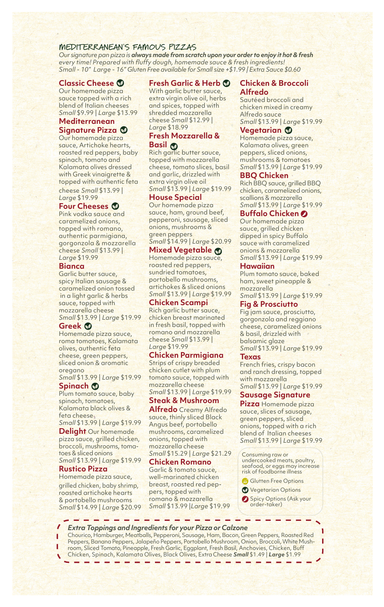# **MEDITERRANEAN'S FAMOUS PIZZAS**

*Our signature pan pizza is alwaysmade fromscratch upon your order to enjoy it hot & fresh every time! Prepared with fluffy dough, homemade sauce & fresh ingredients! Small - 10" Large - 16" Gluten Free available for Small size +\$1.99 | Extra Sauce \$0.60*

# **Classic Cheese**

Our homemade pizza sauce topped with a rich blend of Italian cheeses *Small* \$9.99 | *Large* \$13.99

#### **Mediterranean Signature Pizza**

Our homemade pizza sauce, Artichoke hearts, roasted red peppers, baby spinach, tomato and Kalamata olives dressed with Greek vinaigrette & topped with authentic feta cheese *Small* \$13.99 | *Large* \$19.99

#### **Four Cheeses**

Pink vodka sauce and caramelized onions, topped with romano, authentic parmigiana, gorgonzola & mozzarella cheese *Small* \$13.99 | *Large* \$19.99

#### **Bianca**

Garlic butter sauce, spicy Italian sausage & caramelized onion tossed in a light garlic & herbs sauce, topped with mozzarella cheese *Small* \$13.99 | *Large* \$19.99

#### **Greek**

Homemade pizza sauce, roma tomatoes, Kalamata olives, authentic feta cheese, green peppers, sliced onion & aromatic oregano

*Small* \$13.99 | *Large* \$19.99

#### **Spinach** Plum tomato sauce, baby spinach, tomatoes, Kalamata black olives & feta cheese

*Small* \$13.99 | *Large* \$19.99

**Delight** Our homemade pizza sauce, grilled chicken, broccoli, mushrooms, tomatoes & sliced onions *Small* \$13.99 | *Large* \$19.99

#### **Rustico Pizza**

Homemade pizza sauce, grilled chicken, baby shrimp, roasted artichoke hearts & portobello mushrooms

# **Fresh Garlic & Herb**

With garlic butter sauce, extra virgin olive oil, herbs and spices, topped with shredded mozzarella cheese *Small* \$12.99 | *Large* \$18.99

# **Fresh Mozzarella & Basil**

Rich garlic butter sauce, topped with mozzarella cheese, tomato slices, basil and garlic, drizzled with extra virgin olive oil *Small* \$13.99 | *Large* \$19.99

#### **House Special**

Our homemade pizza sauce, ham, ground beef, pepperoni, sausage, sliced onions, mushrooms & green peppers *Small* \$14.99 | *Large* \$20.99

#### **Mixed Vegetable**

Homemade pizza sauce, roasted red peppers, sundried tomatoes, portobello mushrooms, artichokes & sliced onions *Small* \$13.99 | *Large* \$19.99

#### **Chicken Scampi**

Rich garlic butter sauce, chicken breast marinated in fresh basil, topped with romano and mozzarella cheese *Small* \$13.99 | *Large* \$19.99

# **Chicken Parmigiana**

Strips of crispy breaded chicken cutlet with plum tomato sauce, topped with mozzarella cheese *Small* \$13.99 | *Large* \$19.99

#### **Steak & Mushroom**

**Alfredo** Creamy Alfredo sauce, thinly sliced Black Angus beef, portobello mushrooms, caramelized onions, topped with mozzarella cheese *Small* \$15.29 | *Large* \$21.29

#### *Small* \$14.99 | *Large* \$20.99 *Small* \$13.99 |*Large* \$19.99 **Chicken Romano** Garlic & tomato sauce, well-marinated chicken breast, roasted red peppers, topped with romano & mozzarella

#### **Chicken & Broccoli Alfredo**

Sautéed broccoli and chicken mixed in creamy Alfredo sauce *Small* \$13.99 | *Large* \$19.99

#### **Vegetarian**

Homemade pizza sauce, Kalamata olives, green peppers, sliced onions, mushrooms & tomatoes *Small* \$13.99 | *Large* \$19.99

#### **BBQ Chicken**

Rich BBQ sauce, grilled BBQ chicken, caramelized onions, scallions & mozzarella *Small* \$13.99 | *Large* \$19.99

**Buffalo Chicken**

Our homemade pizza sauce, grilled chicken dipped in spicy Buffalo sauce with caramelized onions & mozzarella *Small* \$13.99 | *Large* \$19.99

#### **Hawaiian**

Plum tomato sauce, baked ham, sweet pineapple & mozzarella

*Small* \$13.99 | *Large* \$19.99 **Fig & Prosciutto**

Fig jam sauce, prosciutto, gorgonzola and reggiano cheese, caramelized onions & basil, drizzled with balsamic glaze *Small* \$13.99 | *Large* \$19.99

#### **Texas**

French fries, crispy bacon and ranch dressing, topped with mozzarella *Small* \$13.99 | *Large* \$19.99

#### **Sausage Signature**

**Pizza** Homemade pizza sauce, slices of sausage, green peppers, sliced onions, topped with a rich blend of Italian cheeses *Small* \$13.99 | *Large* \$19.99

Consuming raw or undercooked meats, poultry, seafood, or eggs may increase risk of foodborne illness

- Glutten Free Options
- **Vegetarian Options**
- Spicy Options (Ask your order-taker)

# *Extra Toppings and Ingredients for your Pizza or Calzone*

Chourico, Hamburger, Meatballs, Pepperoni, Sausage, Ham, Bacon, Green Peppers, Roasted Red Peppers, Banana Peppers, Jalapeño Peppers, Portobello Mushroom, Onion, Broccoli, White Mushroom, Sliced Tomato, Pineapple, Fresh Garlic, Eggplant, Fresh Basil, Anchovies, Chicken, Buff Chicken, Spinach, Kalamata Olives, Black Olives, Extra Cheese *Small* \$1.49 | *Large* \$1.99